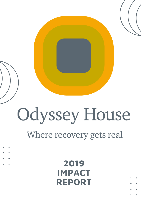## **2019 IMPACT REPORT**

# Where recovery gets real

# Odyssey House

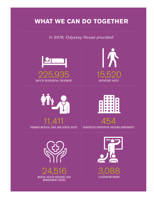### **WHAT WE CAN DO TOGETHER**

*In 2019, Odyssey House provided:*





 $\overline{\phantom{a}}$ PRIMARY MEDICAL CARE AND DENTAL VISITS





454 SUBSIDIZED SUPPORTIVE HOUSING APARTMENTS



1



24,516 **MENTAL HEALTH HOUSING CASE** MANAGEMENT HOURS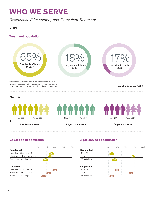## **WHO WE SERVE**

*Residential, Edgecombe,\* and Outpatient Treatment*

#### 2019

#### **Treatment population**



#### **Education at admission**

|                                | 0% | 25% | 50% | 75% | 100% |
|--------------------------------|----|-----|-----|-----|------|
| <b>Residential</b>             |    |     |     |     |      |
| Less than HS, or some HS       |    |     | 492 |     |      |
| HS diploma, GED, or vocational |    | 468 |     |     |      |
| Some college, or degree        |    | 293 |     |     |      |
|                                |    |     |     |     |      |
| <b>Outpatient</b>              |    |     |     |     |      |
| Less than HS, or some HS       |    |     | 162 |     |      |
| HS diploma, GED, or vocational |    | 106 |     |     |      |
| Some college, or degree        |    | 59  |     |     |      |
|                                |    |     |     |     |      |

#### **Ages served at admission**

|                    | $O\%$ | 25% | 50% | 75% | 100% |
|--------------------|-------|-----|-----|-----|------|
| <b>Residential</b> |       |     |     |     |      |
| 12 to 25           | 133   |     |     |     |      |
| 26 to 55           |       |     |     | 905 |      |
| 56 and above       |       | 218 |     |     |      |
|                    |       |     |     |     |      |
| <b>Outpatient</b>  |       |     |     |     |      |
| 12 to 25           |       | 82  |     |     |      |
| 26 to 55           |       |     |     | 214 |      |
| 56 and above       | 32    |     |     |     |      |